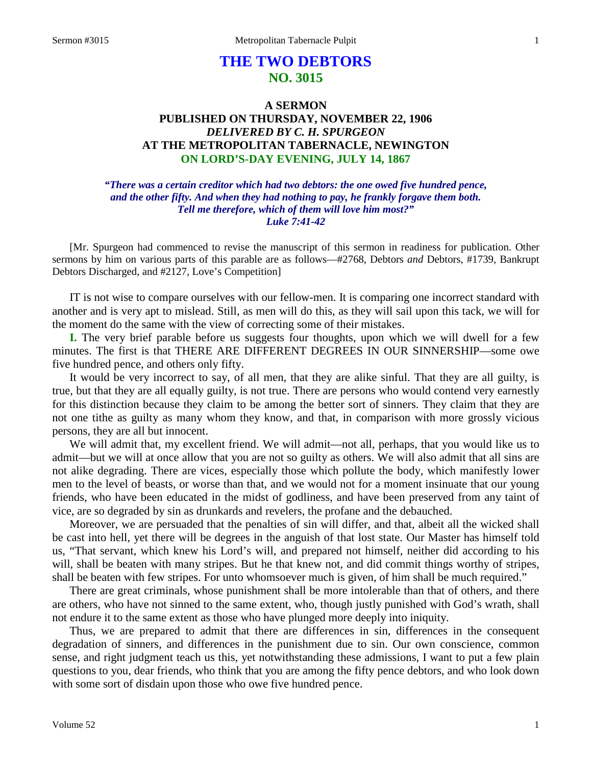# **THE TWO DEBTORS NO. 3015**

# **A SERMON PUBLISHED ON THURSDAY, NOVEMBER 22, 1906** *DELIVERED BY C. H. SPURGEON* **AT THE METROPOLITAN TABERNACLE, NEWINGTON ON LORD'S-DAY EVENING, JULY 14, 1867**

*"There was a certain creditor which had two debtors: the one owed five hundred pence, and the other fifty. And when they had nothing to pay, he frankly forgave them both. Tell me therefore, which of them will love him most?" Luke 7:41-42*

[Mr. Spurgeon had commenced to revise the manuscript of this sermon in readiness for publication. Other sermons by him on various parts of this parable are as follows—#2768, Debtors *and* Debtors, #1739, Bankrupt Debtors Discharged, and #2127, Love's Competition]

IT is not wise to compare ourselves with our fellow-men. It is comparing one incorrect standard with another and is very apt to mislead. Still, as men will do this, as they will sail upon this tack, we will for the moment do the same with the view of correcting some of their mistakes.

**I.** The very brief parable before us suggests four thoughts, upon which we will dwell for a few minutes. The first is that THERE ARE DIFFERENT DEGREES IN OUR SINNERSHIP—some owe five hundred pence, and others only fifty.

It would be very incorrect to say, of all men, that they are alike sinful. That they are all guilty, is true, but that they are all equally guilty, is not true. There are persons who would contend very earnestly for this distinction because they claim to be among the better sort of sinners. They claim that they are not one tithe as guilty as many whom they know, and that, in comparison with more grossly vicious persons, they are all but innocent.

We will admit that, my excellent friend. We will admit—not all, perhaps, that you would like us to admit—but we will at once allow that you are not so guilty as others. We will also admit that all sins are not alike degrading. There are vices, especially those which pollute the body, which manifestly lower men to the level of beasts, or worse than that, and we would not for a moment insinuate that our young friends, who have been educated in the midst of godliness, and have been preserved from any taint of vice, are so degraded by sin as drunkards and revelers, the profane and the debauched.

Moreover, we are persuaded that the penalties of sin will differ, and that, albeit all the wicked shall be cast into hell, yet there will be degrees in the anguish of that lost state. Our Master has himself told us, "That servant, which knew his Lord's will, and prepared not himself, neither did according to his will, shall be beaten with many stripes. But he that knew not, and did commit things worthy of stripes, shall be beaten with few stripes. For unto whomsoever much is given, of him shall be much required."

There are great criminals, whose punishment shall be more intolerable than that of others, and there are others, who have not sinned to the same extent, who, though justly punished with God's wrath, shall not endure it to the same extent as those who have plunged more deeply into iniquity.

Thus, we are prepared to admit that there are differences in sin, differences in the consequent degradation of sinners, and differences in the punishment due to sin. Our own conscience, common sense, and right judgment teach us this, yet notwithstanding these admissions, I want to put a few plain questions to you, dear friends, who think that you are among the fifty pence debtors, and who look down with some sort of disdain upon those who owe five hundred pence.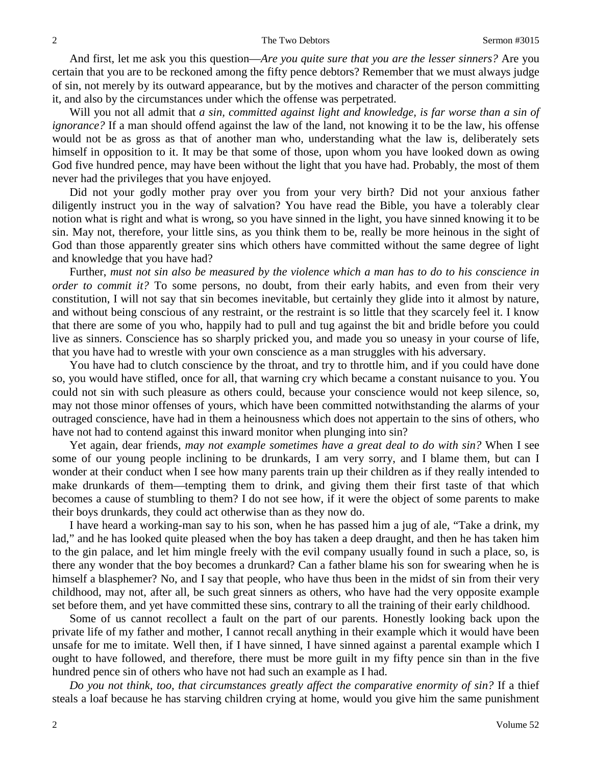And first, let me ask you this question—*Are you quite sure that you are the lesser sinners?* Are you certain that you are to be reckoned among the fifty pence debtors? Remember that we must always judge of sin, not merely by its outward appearance, but by the motives and character of the person committing it, and also by the circumstances under which the offense was perpetrated.

Will you not all admit that *a sin, committed against light and knowledge, is far worse than a sin of ignorance?* If a man should offend against the law of the land, not knowing it to be the law, his offense would not be as gross as that of another man who, understanding what the law is, deliberately sets himself in opposition to it. It may be that some of those, upon whom you have looked down as owing God five hundred pence, may have been without the light that you have had. Probably, the most of them never had the privileges that you have enjoyed.

Did not your godly mother pray over you from your very birth? Did not your anxious father diligently instruct you in the way of salvation? You have read the Bible, you have a tolerably clear notion what is right and what is wrong, so you have sinned in the light, you have sinned knowing it to be sin. May not, therefore, your little sins, as you think them to be, really be more heinous in the sight of God than those apparently greater sins which others have committed without the same degree of light and knowledge that you have had?

Further, *must not sin also be measured by the violence which a man has to do to his conscience in order to commit it?* To some persons, no doubt, from their early habits, and even from their very constitution, I will not say that sin becomes inevitable, but certainly they glide into it almost by nature, and without being conscious of any restraint, or the restraint is so little that they scarcely feel it. I know that there are some of you who, happily had to pull and tug against the bit and bridle before you could live as sinners. Conscience has so sharply pricked you, and made you so uneasy in your course of life, that you have had to wrestle with your own conscience as a man struggles with his adversary.

You have had to clutch conscience by the throat, and try to throttle him, and if you could have done so, you would have stifled, once for all, that warning cry which became a constant nuisance to you. You could not sin with such pleasure as others could, because your conscience would not keep silence, so, may not those minor offenses of yours, which have been committed notwithstanding the alarms of your outraged conscience, have had in them a heinousness which does not appertain to the sins of others, who have not had to contend against this inward monitor when plunging into sin?

Yet again, dear friends, *may not example sometimes have a great deal to do with sin?* When I see some of our young people inclining to be drunkards, I am very sorry, and I blame them, but can I wonder at their conduct when I see how many parents train up their children as if they really intended to make drunkards of them—tempting them to drink, and giving them their first taste of that which becomes a cause of stumbling to them? I do not see how, if it were the object of some parents to make their boys drunkards, they could act otherwise than as they now do.

I have heard a working-man say to his son, when he has passed him a jug of ale, "Take a drink, my lad," and he has looked quite pleased when the boy has taken a deep draught, and then he has taken him to the gin palace, and let him mingle freely with the evil company usually found in such a place, so, is there any wonder that the boy becomes a drunkard? Can a father blame his son for swearing when he is himself a blasphemer? No, and I say that people, who have thus been in the midst of sin from their very childhood, may not, after all, be such great sinners as others, who have had the very opposite example set before them, and yet have committed these sins, contrary to all the training of their early childhood.

Some of us cannot recollect a fault on the part of our parents. Honestly looking back upon the private life of my father and mother, I cannot recall anything in their example which it would have been unsafe for me to imitate. Well then, if I have sinned, I have sinned against a parental example which I ought to have followed, and therefore, there must be more guilt in my fifty pence sin than in the five hundred pence sin of others who have not had such an example as I had.

*Do you not think, too, that circumstances greatly affect the comparative enormity of sin?* If a thief steals a loaf because he has starving children crying at home, would you give him the same punishment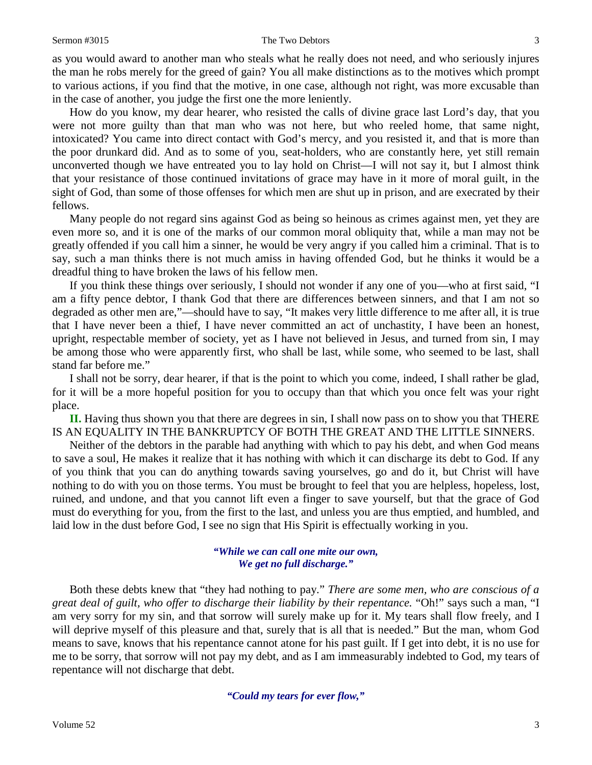as you would award to another man who steals what he really does not need, and who seriously injures the man he robs merely for the greed of gain? You all make distinctions as to the motives which prompt to various actions, if you find that the motive, in one case, although not right, was more excusable than in the case of another, you judge the first one the more leniently.

How do you know, my dear hearer, who resisted the calls of divine grace last Lord's day, that you were not more guilty than that man who was not here, but who reeled home, that same night, intoxicated? You came into direct contact with God's mercy, and you resisted it, and that is more than the poor drunkard did. And as to some of you, seat-holders, who are constantly here, yet still remain unconverted though we have entreated you to lay hold on Christ—I will not say it, but I almost think that your resistance of those continued invitations of grace may have in it more of moral guilt, in the sight of God, than some of those offenses for which men are shut up in prison, and are execrated by their fellows.

Many people do not regard sins against God as being so heinous as crimes against men, yet they are even more so, and it is one of the marks of our common moral obliquity that, while a man may not be greatly offended if you call him a sinner, he would be very angry if you called him a criminal. That is to say, such a man thinks there is not much amiss in having offended God, but he thinks it would be a dreadful thing to have broken the laws of his fellow men.

If you think these things over seriously, I should not wonder if any one of you—who at first said, "I am a fifty pence debtor, I thank God that there are differences between sinners, and that I am not so degraded as other men are,"—should have to say, "It makes very little difference to me after all, it is true that I have never been a thief, I have never committed an act of unchastity, I have been an honest, upright, respectable member of society, yet as I have not believed in Jesus, and turned from sin, I may be among those who were apparently first, who shall be last, while some, who seemed to be last, shall stand far before me."

I shall not be sorry, dear hearer, if that is the point to which you come, indeed, I shall rather be glad, for it will be a more hopeful position for you to occupy than that which you once felt was your right place.

**II.** Having thus shown you that there are degrees in sin, I shall now pass on to show you that THERE IS AN EQUALITY IN THE BANKRUPTCY OF BOTH THE GREAT AND THE LITTLE SINNERS.

Neither of the debtors in the parable had anything with which to pay his debt, and when God means to save a soul, He makes it realize that it has nothing with which it can discharge its debt to God. If any of you think that you can do anything towards saving yourselves, go and do it, but Christ will have nothing to do with you on those terms. You must be brought to feel that you are helpless, hopeless, lost, ruined, and undone, and that you cannot lift even a finger to save yourself, but that the grace of God must do everything for you, from the first to the last, and unless you are thus emptied, and humbled, and laid low in the dust before God, I see no sign that His Spirit is effectually working in you.

### *"While we can call one mite our own, We get no full discharge."*

Both these debts knew that "they had nothing to pay." *There are some men, who are conscious of a great deal of guilt, who offer to discharge their liability by their repentance.* "Oh!" says such a man, "I am very sorry for my sin, and that sorrow will surely make up for it. My tears shall flow freely, and I will deprive myself of this pleasure and that, surely that is all that is needed." But the man, whom God means to save, knows that his repentance cannot atone for his past guilt. If I get into debt, it is no use for me to be sorry, that sorrow will not pay my debt, and as I am immeasurably indebted to God, my tears of repentance will not discharge that debt.

*"Could my tears for ever flow,"*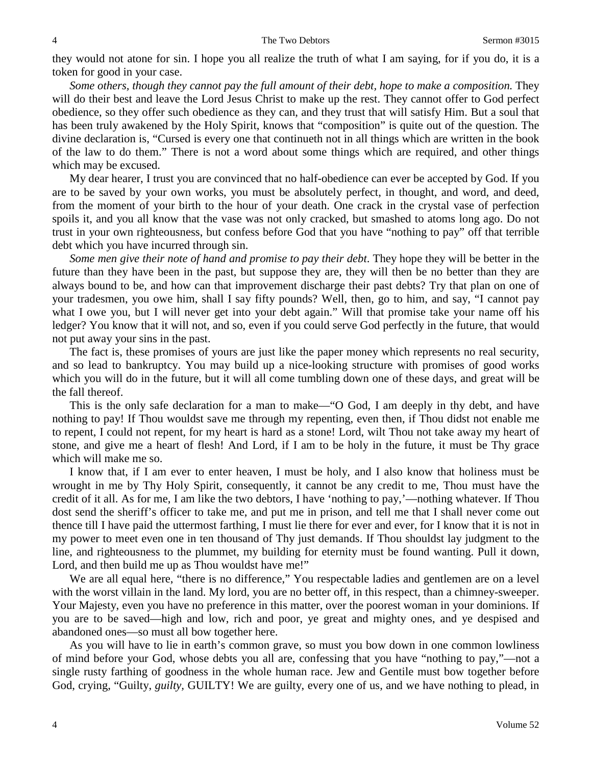they would not atone for sin. I hope you all realize the truth of what I am saying, for if you do, it is a token for good in your case.

*Some others, though they cannot pay the full amount of their debt, hope to make a composition.* They will do their best and leave the Lord Jesus Christ to make up the rest. They cannot offer to God perfect obedience, so they offer such obedience as they can, and they trust that will satisfy Him. But a soul that has been truly awakened by the Holy Spirit, knows that "composition" is quite out of the question. The divine declaration is, "Cursed is every one that continueth not in all things which are written in the book of the law to do them." There is not a word about some things which are required, and other things which may be excused.

My dear hearer, I trust you are convinced that no half-obedience can ever be accepted by God. If you are to be saved by your own works, you must be absolutely perfect, in thought, and word, and deed, from the moment of your birth to the hour of your death. One crack in the crystal vase of perfection spoils it, and you all know that the vase was not only cracked, but smashed to atoms long ago. Do not trust in your own righteousness, but confess before God that you have "nothing to pay" off that terrible debt which you have incurred through sin.

*Some men give their note of hand and promise to pay their debt*. They hope they will be better in the future than they have been in the past, but suppose they are, they will then be no better than they are always bound to be, and how can that improvement discharge their past debts? Try that plan on one of your tradesmen, you owe him, shall I say fifty pounds? Well, then, go to him, and say, "I cannot pay what I owe you, but I will never get into your debt again." Will that promise take your name off his ledger? You know that it will not, and so, even if you could serve God perfectly in the future, that would not put away your sins in the past.

The fact is, these promises of yours are just like the paper money which represents no real security, and so lead to bankruptcy. You may build up a nice-looking structure with promises of good works which you will do in the future, but it will all come tumbling down one of these days, and great will be the fall thereof.

This is the only safe declaration for a man to make—"O God, I am deeply in thy debt, and have nothing to pay! If Thou wouldst save me through my repenting, even then, if Thou didst not enable me to repent, I could not repent, for my heart is hard as a stone! Lord, wilt Thou not take away my heart of stone, and give me a heart of flesh! And Lord, if I am to be holy in the future, it must be Thy grace which will make me so.

I know that, if I am ever to enter heaven, I must be holy, and I also know that holiness must be wrought in me by Thy Holy Spirit, consequently, it cannot be any credit to me, Thou must have the credit of it all. As for me, I am like the two debtors, I have 'nothing to pay,'—nothing whatever. If Thou dost send the sheriff's officer to take me, and put me in prison, and tell me that I shall never come out thence till I have paid the uttermost farthing, I must lie there for ever and ever, for I know that it is not in my power to meet even one in ten thousand of Thy just demands. If Thou shouldst lay judgment to the line, and righteousness to the plummet, my building for eternity must be found wanting. Pull it down, Lord, and then build me up as Thou wouldst have me!"

We are all equal here, "there is no difference," You respectable ladies and gentlemen are on a level with the worst villain in the land. My lord, you are no better off, in this respect, than a chimney-sweeper. Your Majesty, even you have no preference in this matter, over the poorest woman in your dominions. If you are to be saved—high and low, rich and poor, ye great and mighty ones, and ye despised and abandoned ones—so must all bow together here.

As you will have to lie in earth's common grave, so must you bow down in one common lowliness of mind before your God, whose debts you all are, confessing that you have "nothing to pay,"—not a single rusty farthing of goodness in the whole human race. Jew and Gentile must bow together before God, crying, "Guilty, *guilty,* GUILTY! We are guilty, every one of us, and we have nothing to plead, in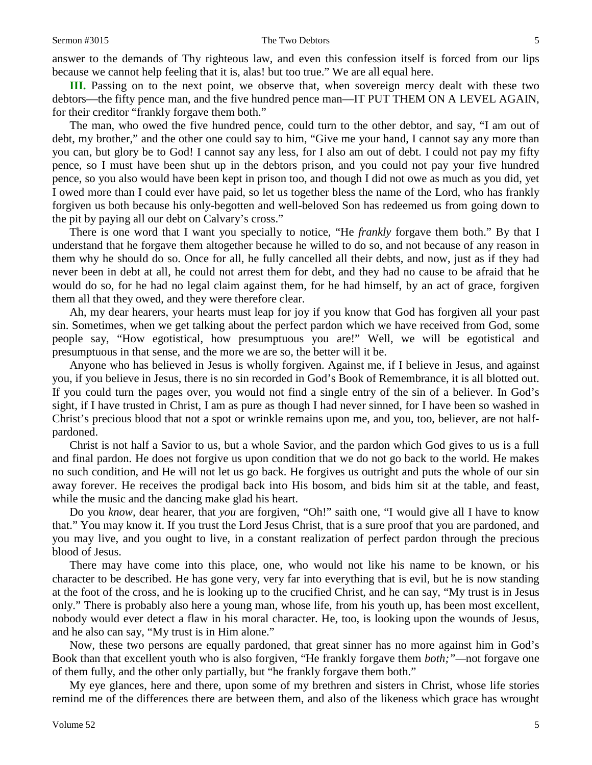answer to the demands of Thy righteous law, and even this confession itself is forced from our lips because we cannot help feeling that it is, alas! but too true." We are all equal here.

**III.** Passing on to the next point, we observe that, when sovereign mercy dealt with these two debtors—the fifty pence man, and the five hundred pence man—IT PUT THEM ON A LEVEL AGAIN, for their creditor "frankly forgave them both."

The man, who owed the five hundred pence, could turn to the other debtor, and say, "I am out of debt, my brother," and the other one could say to him, "Give me your hand, I cannot say any more than you can, but glory be to God! I cannot say any less, for I also am out of debt. I could not pay my fifty pence, so I must have been shut up in the debtors prison, and you could not pay your five hundred pence, so you also would have been kept in prison too, and though I did not owe as much as you did, yet I owed more than I could ever have paid, so let us together bless the name of the Lord, who has frankly forgiven us both because his only-begotten and well-beloved Son has redeemed us from going down to the pit by paying all our debt on Calvary's cross."

There is one word that I want you specially to notice, "He *frankly* forgave them both." By that I understand that he forgave them altogether because he willed to do so, and not because of any reason in them why he should do so. Once for all, he fully cancelled all their debts, and now, just as if they had never been in debt at all, he could not arrest them for debt, and they had no cause to be afraid that he would do so, for he had no legal claim against them, for he had himself, by an act of grace, forgiven them all that they owed, and they were therefore clear.

Ah, my dear hearers, your hearts must leap for joy if you know that God has forgiven all your past sin. Sometimes, when we get talking about the perfect pardon which we have received from God, some people say, "How egotistical, how presumptuous you are!" Well, we will be egotistical and presumptuous in that sense, and the more we are so, the better will it be.

Anyone who has believed in Jesus is wholly forgiven. Against me, if I believe in Jesus, and against you, if you believe in Jesus, there is no sin recorded in God's Book of Remembrance, it is all blotted out. If you could turn the pages over, you would not find a single entry of the sin of a believer. In God's sight, if I have trusted in Christ, I am as pure as though I had never sinned, for I have been so washed in Christ's precious blood that not a spot or wrinkle remains upon me, and you, too, believer, are not halfpardoned.

Christ is not half a Savior to us, but a whole Savior, and the pardon which God gives to us is a full and final pardon. He does not forgive us upon condition that we do not go back to the world. He makes no such condition, and He will not let us go back. He forgives us outright and puts the whole of our sin away forever. He receives the prodigal back into His bosom, and bids him sit at the table, and feast, while the music and the dancing make glad his heart.

Do you *know,* dear hearer, that *you* are forgiven, "Oh!" saith one, "I would give all I have to know that." You may know it. If you trust the Lord Jesus Christ, that is a sure proof that you are pardoned, and you may live, and you ought to live, in a constant realization of perfect pardon through the precious blood of Jesus.

There may have come into this place, one, who would not like his name to be known, or his character to be described. He has gone very, very far into everything that is evil, but he is now standing at the foot of the cross, and he is looking up to the crucified Christ, and he can say, "My trust is in Jesus only." There is probably also here a young man, whose life, from his youth up, has been most excellent, nobody would ever detect a flaw in his moral character. He, too, is looking upon the wounds of Jesus, and he also can say, "My trust is in Him alone."

Now, these two persons are equally pardoned, that great sinner has no more against him in God's Book than that excellent youth who is also forgiven, "He frankly forgave them *both;"—*not forgave one of them fully, and the other only partially, but "he frankly forgave them both."

My eye glances, here and there, upon some of my brethren and sisters in Christ, whose life stories remind me of the differences there are between them, and also of the likeness which grace has wrought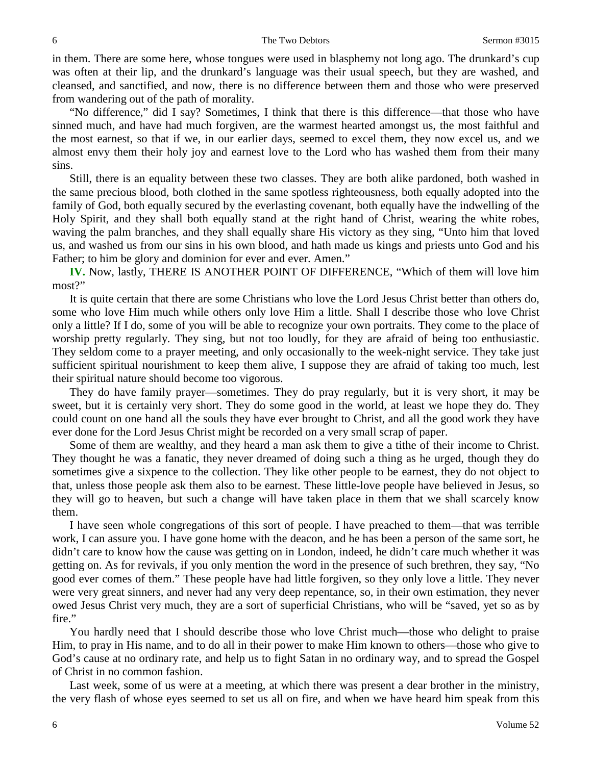in them. There are some here, whose tongues were used in blasphemy not long ago. The drunkard's cup was often at their lip, and the drunkard's language was their usual speech, but they are washed, and cleansed, and sanctified, and now, there is no difference between them and those who were preserved from wandering out of the path of morality.

"No difference," did I say? Sometimes, I think that there is this difference—that those who have sinned much, and have had much forgiven, are the warmest hearted amongst us, the most faithful and the most earnest, so that if we, in our earlier days, seemed to excel them, they now excel us, and we almost envy them their holy joy and earnest love to the Lord who has washed them from their many sins.

Still, there is an equality between these two classes. They are both alike pardoned, both washed in the same precious blood, both clothed in the same spotless righteousness, both equally adopted into the family of God, both equally secured by the everlasting covenant, both equally have the indwelling of the Holy Spirit, and they shall both equally stand at the right hand of Christ, wearing the white robes, waving the palm branches, and they shall equally share His victory as they sing, "Unto him that loved us, and washed us from our sins in his own blood, and hath made us kings and priests unto God and his Father; to him be glory and dominion for ever and ever. Amen."

**IV.** Now, lastly, THERE IS ANOTHER POINT OF DIFFERENCE, "Which of them will love him most?"

It is quite certain that there are some Christians who love the Lord Jesus Christ better than others do, some who love Him much while others only love Him a little. Shall I describe those who love Christ only a little? If I do, some of you will be able to recognize your own portraits. They come to the place of worship pretty regularly. They sing, but not too loudly, for they are afraid of being too enthusiastic. They seldom come to a prayer meeting, and only occasionally to the week-night service. They take just sufficient spiritual nourishment to keep them alive, I suppose they are afraid of taking too much, lest their spiritual nature should become too vigorous.

They do have family prayer—sometimes. They do pray regularly, but it is very short, it may be sweet, but it is certainly very short. They do some good in the world, at least we hope they do. They could count on one hand all the souls they have ever brought to Christ, and all the good work they have ever done for the Lord Jesus Christ might be recorded on a very small scrap of paper.

Some of them are wealthy, and they heard a man ask them to give a tithe of their income to Christ. They thought he was a fanatic, they never dreamed of doing such a thing as he urged, though they do sometimes give a sixpence to the collection. They like other people to be earnest, they do not object to that, unless those people ask them also to be earnest. These little-love people have believed in Jesus, so they will go to heaven, but such a change will have taken place in them that we shall scarcely know them.

I have seen whole congregations of this sort of people. I have preached to them—that was terrible work, I can assure you. I have gone home with the deacon, and he has been a person of the same sort, he didn't care to know how the cause was getting on in London, indeed, he didn't care much whether it was getting on. As for revivals, if you only mention the word in the presence of such brethren, they say, "No good ever comes of them." These people have had little forgiven, so they only love a little. They never were very great sinners, and never had any very deep repentance, so, in their own estimation, they never owed Jesus Christ very much, they are a sort of superficial Christians, who will be "saved, yet so as by fire."

You hardly need that I should describe those who love Christ much—those who delight to praise Him, to pray in His name, and to do all in their power to make Him known to others—those who give to God's cause at no ordinary rate, and help us to fight Satan in no ordinary way, and to spread the Gospel of Christ in no common fashion.

Last week, some of us were at a meeting, at which there was present a dear brother in the ministry, the very flash of whose eyes seemed to set us all on fire, and when we have heard him speak from this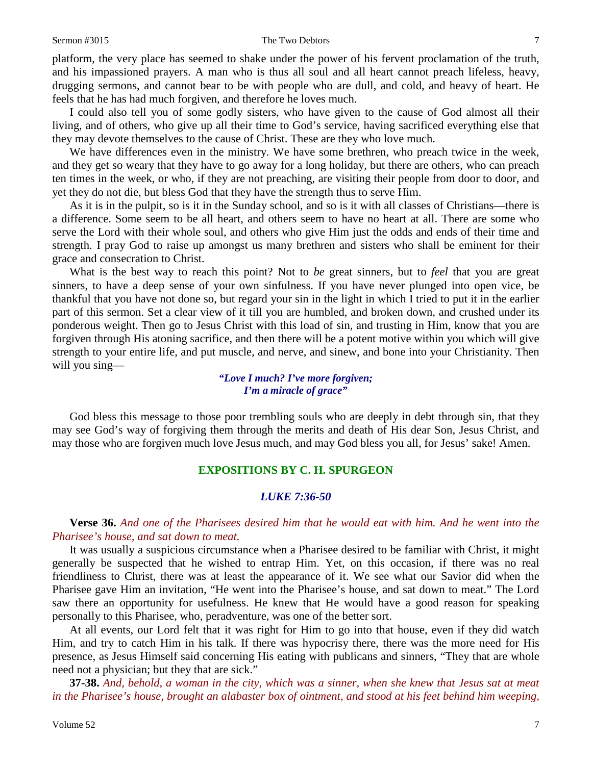#### Sermon #3015 The Two Debtors 7

platform, the very place has seemed to shake under the power of his fervent proclamation of the truth, and his impassioned prayers. A man who is thus all soul and all heart cannot preach lifeless, heavy, drugging sermons, and cannot bear to be with people who are dull, and cold, and heavy of heart. He feels that he has had much forgiven, and therefore he loves much.

I could also tell you of some godly sisters, who have given to the cause of God almost all their living, and of others, who give up all their time to God's service, having sacrificed everything else that they may devote themselves to the cause of Christ. These are they who love much.

We have differences even in the ministry. We have some brethren, who preach twice in the week, and they get so weary that they have to go away for a long holiday, but there are others, who can preach ten times in the week, or who, if they are not preaching, are visiting their people from door to door, and yet they do not die, but bless God that they have the strength thus to serve Him.

As it is in the pulpit, so is it in the Sunday school, and so is it with all classes of Christians—there is a difference. Some seem to be all heart, and others seem to have no heart at all. There are some who serve the Lord with their whole soul, and others who give Him just the odds and ends of their time and strength. I pray God to raise up amongst us many brethren and sisters who shall be eminent for their grace and consecration to Christ.

What is the best way to reach this point? Not to *be* great sinners, but to *feel* that you are great sinners, to have a deep sense of your own sinfulness. If you have never plunged into open vice, be thankful that you have not done so, but regard your sin in the light in which I tried to put it in the earlier part of this sermon. Set a clear view of it till you are humbled, and broken down, and crushed under its ponderous weight. Then go to Jesus Christ with this load of sin, and trusting in Him, know that you are forgiven through His atoning sacrifice, and then there will be a potent motive within you which will give strength to your entire life, and put muscle, and nerve, and sinew, and bone into your Christianity. Then will you sing—

> *"Love I much? I've more forgiven; I'm a miracle of grace"*

God bless this message to those poor trembling souls who are deeply in debt through sin, that they may see God's way of forgiving them through the merits and death of His dear Son, Jesus Christ, and may those who are forgiven much love Jesus much, and may God bless you all, for Jesus' sake! Amen.

## **EXPOSITIONS BY C. H. SPURGEON**

### *LUKE 7:36-50*

**Verse 36.** *And one of the Pharisees desired him that he would eat with him. And he went into the Pharisee's house, and sat down to meat.*

It was usually a suspicious circumstance when a Pharisee desired to be familiar with Christ, it might generally be suspected that he wished to entrap Him. Yet, on this occasion, if there was no real friendliness to Christ, there was at least the appearance of it. We see what our Savior did when the Pharisee gave Him an invitation, "He went into the Pharisee's house, and sat down to meat." The Lord saw there an opportunity for usefulness. He knew that He would have a good reason for speaking personally to this Pharisee, who, peradventure, was one of the better sort.

At all events, our Lord felt that it was right for Him to go into that house, even if they did watch Him, and try to catch Him in his talk. If there was hypocrisy there, there was the more need for His presence, as Jesus Himself said concerning His eating with publicans and sinners, "They that are whole need not a physician; but they that are sick."

**37-38.** *And, behold, a woman in the city, which was a sinner, when she knew that Jesus sat at meat in the Pharisee's house, brought an alabaster box of ointment, and stood at his feet behind him weeping,*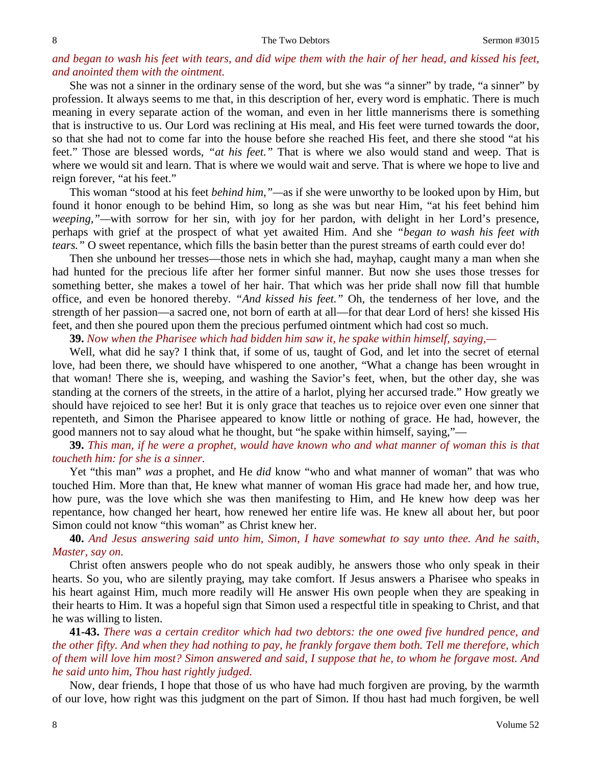#### 8 Sermon #3015

## *and began to wash his feet with tears, and did wipe them with the hair of her head, and kissed his feet, and anointed them with the ointment.*

She was not a sinner in the ordinary sense of the word, but she was "a sinner" by trade, "a sinner" by profession. It always seems to me that, in this description of her, every word is emphatic. There is much meaning in every separate action of the woman, and even in her little mannerisms there is something that is instructive to us. Our Lord was reclining at His meal, and His feet were turned towards the door, so that she had not to come far into the house before she reached His feet, and there she stood "at his feet." Those are blessed words, *"at his feet."* That is where we also would stand and weep. That is where we would sit and learn. That is where we would wait and serve. That is where we hope to live and reign forever, "at his feet."

This woman "stood at his feet *behind him,"—*as if she were unworthy to be looked upon by Him, but found it honor enough to be behind Him, so long as she was but near Him, "at his feet behind him *weeping,"—*with sorrow for her sin, with joy for her pardon, with delight in her Lord's presence, perhaps with grief at the prospect of what yet awaited Him. And she *"began to wash his feet with tears."* O sweet repentance, which fills the basin better than the purest streams of earth could ever do!

Then she unbound her tresses—those nets in which she had, mayhap, caught many a man when she had hunted for the precious life after her former sinful manner. But now she uses those tresses for something better, she makes a towel of her hair. That which was her pride shall now fill that humble office, and even be honored thereby. *"And kissed his feet."* Oh, the tenderness of her love, and the strength of her passion—a sacred one, not born of earth at all—for that dear Lord of hers! she kissed His feet, and then she poured upon them the precious perfumed ointment which had cost so much.

**39.** *Now when the Pharisee which had bidden him saw it, he spake within himself, saying,—*

Well, what did he say? I think that, if some of us, taught of God, and let into the secret of eternal love, had been there, we should have whispered to one another, "What a change has been wrought in that woman! There she is, weeping, and washing the Savior's feet, when, but the other day, she was standing at the corners of the streets, in the attire of a harlot, plying her accursed trade." How greatly we should have rejoiced to see her! But it is only grace that teaches us to rejoice over even one sinner that repenteth, and Simon the Pharisee appeared to know little or nothing of grace. He had, however, the good manners not to say aloud what he thought, but "he spake within himself, saying,"—

**39.** *This man, if he were a prophet, would have known who and what manner of woman this is that toucheth him: for she is a sinner.*

Yet "this man" *was* a prophet, and He *did* know "who and what manner of woman" that was who touched Him. More than that, He knew what manner of woman His grace had made her, and how true, how pure, was the love which she was then manifesting to Him, and He knew how deep was her repentance, how changed her heart, how renewed her entire life was. He knew all about her, but poor Simon could not know "this woman" as Christ knew her.

# **40.** *And Jesus answering said unto him, Simon, I have somewhat to say unto thee. And he saith, Master, say on.*

Christ often answers people who do not speak audibly, he answers those who only speak in their hearts. So you, who are silently praying, may take comfort. If Jesus answers a Pharisee who speaks in his heart against Him, much more readily will He answer His own people when they are speaking in their hearts to Him. It was a hopeful sign that Simon used a respectful title in speaking to Christ, and that he was willing to listen.

**41-43.** *There was a certain creditor which had two debtors: the one owed five hundred pence, and the other fifty. And when they had nothing to pay, he frankly forgave them both. Tell me therefore, which of them will love him most? Simon answered and said, I suppose that he, to whom he forgave most. And he said unto him, Thou hast rightly judged.*

Now, dear friends, I hope that those of us who have had much forgiven are proving, by the warmth of our love, how right was this judgment on the part of Simon. If thou hast had much forgiven, be well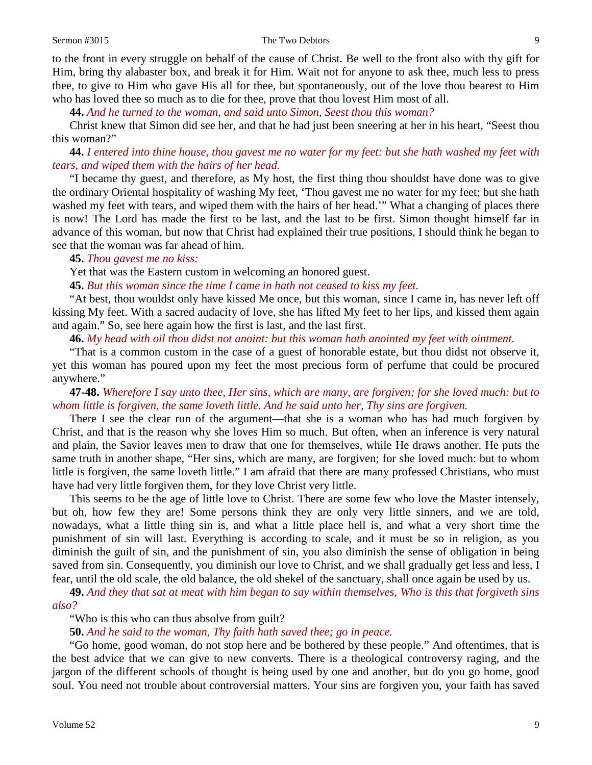to the front in every struggle on behalf of the cause of Christ. Be well to the front also with thy gift for Him, bring thy alabaster box, and break it for Him. Wait not for anyone to ask thee, much less to press thee, to give to Him who gave His all for thee, but spontaneously, out of the love thou bearest to Him who has loved thee so much as to die for thee, prove that thou lovest Him most of all.

**44.** *And he turned to the woman, and said unto Simon, Seest thou this woman?*

Christ knew that Simon did see her, and that he had just been sneering at her in his heart, "Seest thou this woman?"

**44.** *I entered into thine house, thou gavest me no water for my feet: but she hath washed my feet with tears, and wiped them with the hairs of her head.*

"I became thy guest, and therefore, as My host, the first thing thou shouldst have done was to give the ordinary Oriental hospitality of washing My feet, 'Thou gavest me no water for my feet; but she hath washed my feet with tears, and wiped them with the hairs of her head.'" What a changing of places there is now! The Lord has made the first to be last, and the last to be first. Simon thought himself far in advance of this woman, but now that Christ had explained their true positions, I should think he began to see that the woman was far ahead of him.

#### **45.** *Thou gavest me no kiss:*

Yet that was the Eastern custom in welcoming an honored guest.

**45.** *But this woman since the time I came in hath not ceased to kiss my feet.*

"At best, thou wouldst only have kissed Me once, but this woman, since I came in, has never left off kissing My feet. With a sacred audacity of love, she has lifted My feet to her lips, and kissed them again and again." So, see here again how the first is last, and the last first.

**46.** *My head with oil thou didst not anoint: but this woman hath anointed my feet with ointment.*

"That is a common custom in the case of a guest of honorable estate, but thou didst not observe it, yet this woman has poured upon my feet the most precious form of perfume that could be procured anywhere."

**47-48.** *Wherefore I say unto thee, Her sins, which are many, are forgiven; for she loved much: but to whom little is forgiven, the same loveth little. And he said unto her, Thy sins are forgiven.*

There I see the clear run of the argument—that she is a woman who has had much forgiven by Christ, and that is the reason why she loves Him so much. But often, when an inference is very natural and plain, the Savior leaves men to draw that one for themselves, while He draws another. He puts the same truth in another shape, "Her sins, which are many, are forgiven; for she loved much: but to whom little is forgiven, the same loveth little." I am afraid that there are many professed Christians, who must have had very little forgiven them, for they love Christ very little.

This seems to be the age of little love to Christ. There are some few who love the Master intensely, but oh, how few they are! Some persons think they are only very little sinners, and we are told, nowadays, what a little thing sin is, and what a little place hell is, and what a very short time the punishment of sin will last. Everything is according to scale, and it must be so in religion, as you diminish the guilt of sin, and the punishment of sin, you also diminish the sense of obligation in being saved from sin. Consequently, you diminish our love to Christ, and we shall gradually get less and less, I fear, until the old scale, the old balance, the old shekel of the sanctuary, shall once again be used by us.

**49.** *And they that sat at meat with him began to say within themselves, Who is this that forgiveth sins also?*

"Who is this who can thus absolve from guilt?

**50.** *And he said to the woman, Thy faith hath saved thee; go in peace.*

"Go home, good woman, do not stop here and be bothered by these people." And oftentimes, that is the best advice that we can give to new converts. There is a theological controversy raging, and the jargon of the different schools of thought is being used by one and another, but do you go home, good soul. You need not trouble about controversial matters. Your sins are forgiven you, your faith has saved